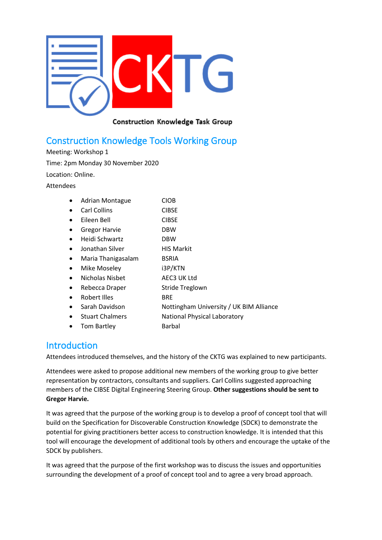

#### Construction Knowledge Task Group

# Construction Knowledge Tools Working Group

Meeting: Workshop 1 Time: 2pm Monday 30 November 2020 Location: Online.

Attendees

|  | <b>Adrian Montague</b> | <b>CIOB</b> |
|--|------------------------|-------------|
|--|------------------------|-------------|

- Carl Collins CIBSE
- Eileen Bell CIBSE
- Gregor Harvie **DBW**
- Heidi Schwartz DBW
- Jonathan Silver **HIS Markit**
- Maria Thanigasalam BSRIA
- Mike Moseley i3P/KTN
- Nicholas Nisbet AEC3 UK Ltd
- Rebecca Draper Stride Treglown
- Robert Illes BRE
- Sarah Davidson Nottingham University / UK BIM Alliance
	- Stuart Chalmers **National Physical Laboratory**
- Tom Bartley **Barbal**

### **Introduction**

Attendees introduced themselves, and the history of the CKTG was explained to new participants.

Attendees were asked to propose additional new members of the working group to give better representation by contractors, consultants and suppliers. Carl Collins suggested approaching members of the CIBSE Digital Engineering Steering Group. **Other suggestions should be sent to Gregor Harvie.**

It was agreed that the purpose of the working group is to develop a proof of concept tool that will build on the Specification for Discoverable Construction Knowledge (SDCK) to demonstrate the potential for giving practitioners better access to construction knowledge. It is intended that this tool will encourage the development of additional tools by others and encourage the uptake of the SDCK by publishers.

It was agreed that the purpose of the first workshop was to discuss the issues and opportunities surrounding the development of a proof of concept tool and to agree a very broad approach.